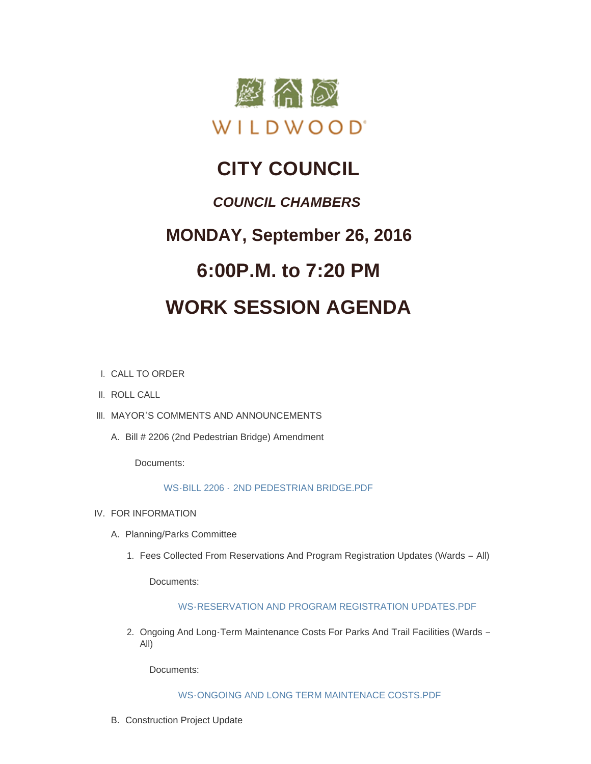

# **CITY COUNCIL**

### *COUNCIL CHAMBERS*

## **MONDAY, September 26, 2016**

# **6:00P.M. to 7:20 PM**

# **WORK SESSION AGENDA**

- CALL TO ORDER I.
- II. ROLL CALL
- III. MAYOR'S COMMENTS AND ANNOUNCEMENTS
	- A. Bill # 2206 (2nd Pedestrian Bridge) Amendment

Documents:

### WS-BILL 2206 - [2ND PEDESTRIAN BRIDGE.PDF](http://mo-wildwood.civicplus.com/AgendaCenter/ViewFile/Item/8277?fileID=12337)

- IV. FOR INFORMATION
	- A. Planning/Parks Committee
		- 1. Fees Collected From Reservations And Program Registration Updates (Wards All)

Documents:

### [WS-RESERVATION AND PROGRAM REGISTRATION UPDATES.PDF](http://mo-wildwood.civicplus.com/AgendaCenter/ViewFile/Item/8280?fileID=12338)

2. Ongoing And Long-Term Maintenance Costs For Parks And Trail Facilities (Wards -All)

Documents:

[WS-ONGOING AND LONG TERM MAINTENACE COSTS.PDF](http://mo-wildwood.civicplus.com/AgendaCenter/ViewFile/Item/8281?fileID=12339)

B. Construction Project Update